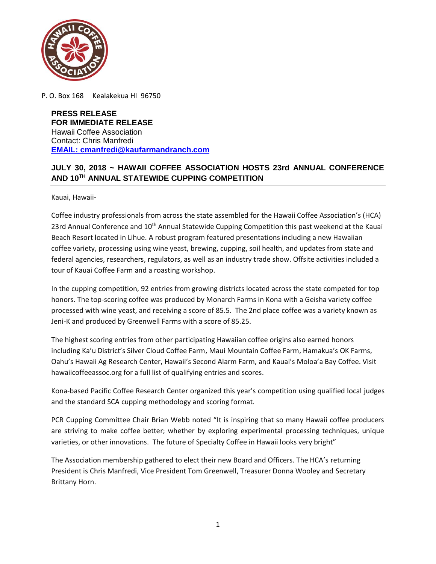

P. O. Box 168 Kealakekua HI 96750

**PRESS RELEASE FOR IMMEDIATE RELEASE** Hawaii Coffee Association Contact: Chris Manfredi **EMAIL: cmanfredi@kaufarmandranch.com**

## **JULY 30, 2018 ~ HAWAII COFFEE ASSOCIATION HOSTS 23rd ANNUAL CONFERENCE AND 10TH ANNUAL STATEWIDE CUPPING COMPETITION**

Kauai, Hawaii-

Coffee industry professionals from across the state assembled for the Hawaii Coffee Association's (HCA) 23rd Annual Conference and 10<sup>th</sup> Annual Statewide Cupping Competition this past weekend at the Kauai Beach Resort located in Lihue. A robust program featured presentations including a new Hawaiian coffee variety, processing using wine yeast, brewing, cupping, soil health, and updates from state and federal agencies, researchers, regulators, as well as an industry trade show. Offsite activities included a tour of Kauai Coffee Farm and a roasting workshop.

In the cupping competition, 92 entries from growing districts located across the state competed for top honors. The top-scoring coffee was produced by Monarch Farms in Kona with a Geisha variety coffee processed with wine yeast, and receiving a score of 85.5. The 2nd place coffee was a variety known as Jeni-K and produced by Greenwell Farms with a score of 85.25.

The highest scoring entries from other participating Hawaiian coffee origins also earned honors including Ka'u District's Silver Cloud Coffee Farm, Maui Mountain Coffee Farm, Hamakua's OK Farms, Oahu's Hawaii Ag Research Center, Hawaii's Second Alarm Farm, and Kauai's Moloa'a Bay Coffee. Visit hawaiicoffeeassoc.org for a full list of qualifying entries and scores.

Kona-based Pacific Coffee Research Center organized this year's competition using qualified local judges and the standard SCA cupping methodology and scoring format.

PCR Cupping Committee Chair Brian Webb noted "It is inspiring that so many Hawaii coffee producers are striving to make coffee better; whether by exploring experimental processing techniques, unique varieties, or other innovations. The future of Specialty Coffee in Hawaii looks very bright"

The Association membership gathered to elect their new Board and Officers. The HCA's returning President is Chris Manfredi, Vice President Tom Greenwell, Treasurer Donna Wooley and Secretary Brittany Horn.